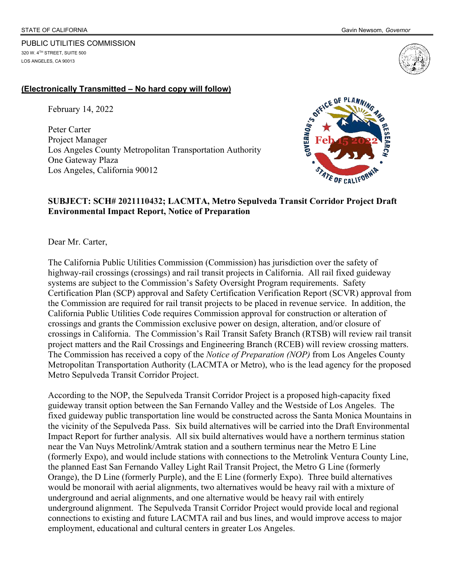PUBLIC UTILITIES COMMISSION

320 W. 4TH STREET, SUITE 500 LOS ANGELES, CA 90013



## **(Electronically Transmitted – No hard copy will follow)**

February 14, 2022

Peter Carter Project Manager Los Angeles County Metropolitan Transportation Authority One Gateway Plaza Los Angeles, California 90012



## **SUBJECT: SCH# 2021110432; LACMTA, Metro Sepulveda Transit Corridor Project Draft Environmental Impact Report, Notice of Preparation**

Dear Mr. Carter,

The California Public Utilities Commission (Commission) has jurisdiction over the safety of highway-rail crossings (crossings) and rail transit projects in California. All rail fixed guideway systems are subject to the Commission's Safety Oversight Program requirements. Safety Certification Plan (SCP) approval and Safety Certification Verification Report (SCVR) approval from the Commission are required for rail transit projects to be placed in revenue service. In addition, the California Public Utilities Code requires Commission approval for construction or alteration of crossings and grants the Commission exclusive power on design, alteration, and/or closure of crossings in California. The Commission's Rail Transit Safety Branch (RTSB) will review rail transit project matters and the Rail Crossings and Engineering Branch (RCEB) will review crossing matters. The Commission has received a copy of the *Notice of Preparation (NOP)* from Los Angeles County Metropolitan Transportation Authority (LACMTA or Metro), who is the lead agency for the proposed Metro Sepulveda Transit Corridor Project.

According to the NOP, the Sepulveda Transit Corridor Project is a proposed high-capacity fixed guideway transit option between the San Fernando Valley and the Westside of Los Angeles. The fixed guideway public transportation line would be constructed across the Santa Monica Mountains in the vicinity of the Sepulveda Pass. Six build alternatives will be carried into the Draft Environmental Impact Report for further analysis. All six build alternatives would have a northern terminus station near the Van Nuys Metrolink/Amtrak station and a southern terminus near the Metro E Line (formerly Expo), and would include stations with connections to the Metrolink Ventura County Line, the planned East San Fernando Valley Light Rail Transit Project, the Metro G Line (formerly Orange), the D Line (formerly Purple), and the E Line (formerly Expo). Three build alternatives would be monorail with aerial alignments, two alternatives would be heavy rail with a mixture of underground and aerial alignments, and one alternative would be heavy rail with entirely underground alignment. The Sepulveda Transit Corridor Project would provide local and regional connections to existing and future LACMTA rail and bus lines, and would improve access to major employment, educational and cultural centers in greater Los Angeles.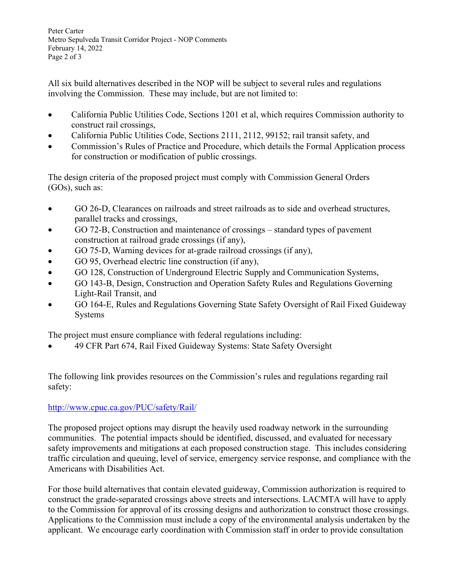Peter Carter Metro Sepulveda Transit Corridor Project - NOP Comments February 14, 2022 Page 2 of 3

All six build alternatives described in the NOP will be subject to several rules and regulations involving the Commission. These may include, but are not limited to:

- California Public Utilities Code, Sections 1201 et al, which requires Commission authority to construct rail crossings,
- California Public Utilities Code, Sections 2111, 2112, 99152; rail transit safety, and
- Commission's Rules of Practice and Procedure, which details the Formal Application process for construction or modification of public crossings.

The design criteria of the proposed project must comply with Commission General Orders (GOs), such as:

- GO 26-D, Clearances on railroads and street railroads as to side and overhead structures, parallel tracks and crossings,
- GO 72-B, Construction and maintenance of crossings standard types of pavement construction at railroad grade crossings (if any),
- GO 75-D, Warning devices for at-grade railroad crossings (if any),
- GO 95, Overhead electric line construction (if any),
- GO 128, Construction of Underground Electric Supply and Communication Systems,
- GO 143-B, Design, Construction and Operation Safety Rules and Regulations Governing Light-Rail Transit, and
- GO 164-E, Rules and Regulations Governing State Safety Oversight of Rail Fixed Guideway Systems

The project must ensure compliance with federal regulations including:

49 CFR Part 674, Rail Fixed Guideway Systems: State Safety Oversight

The following link provides resources on the Commission's rules and regulations regarding rail safety:

## http://www.cpuc.ca.gov/PUC/safety/Rail/

The proposed project options may disrupt the heavily used roadway network in the surrounding communities. The potential impacts should be identified, discussed, and evaluated for necessary safety improvements and mitigations at each proposed construction stage. This includes considering traffic circulation and queuing, level of service, emergency service response, and compliance with the Americans with Disabilities Act.

For those build alternatives that contain elevated guideway, Commission authorization is required to construct the grade-separated crossings above streets and intersections. LACMTA will have to apply to the Commission for approval of its crossing designs and authorization to construct those crossings. Applications to the Commission must include a copy of the environmental analysis undertaken by the applicant. We encourage early coordination with Commission staff in order to provide consultation